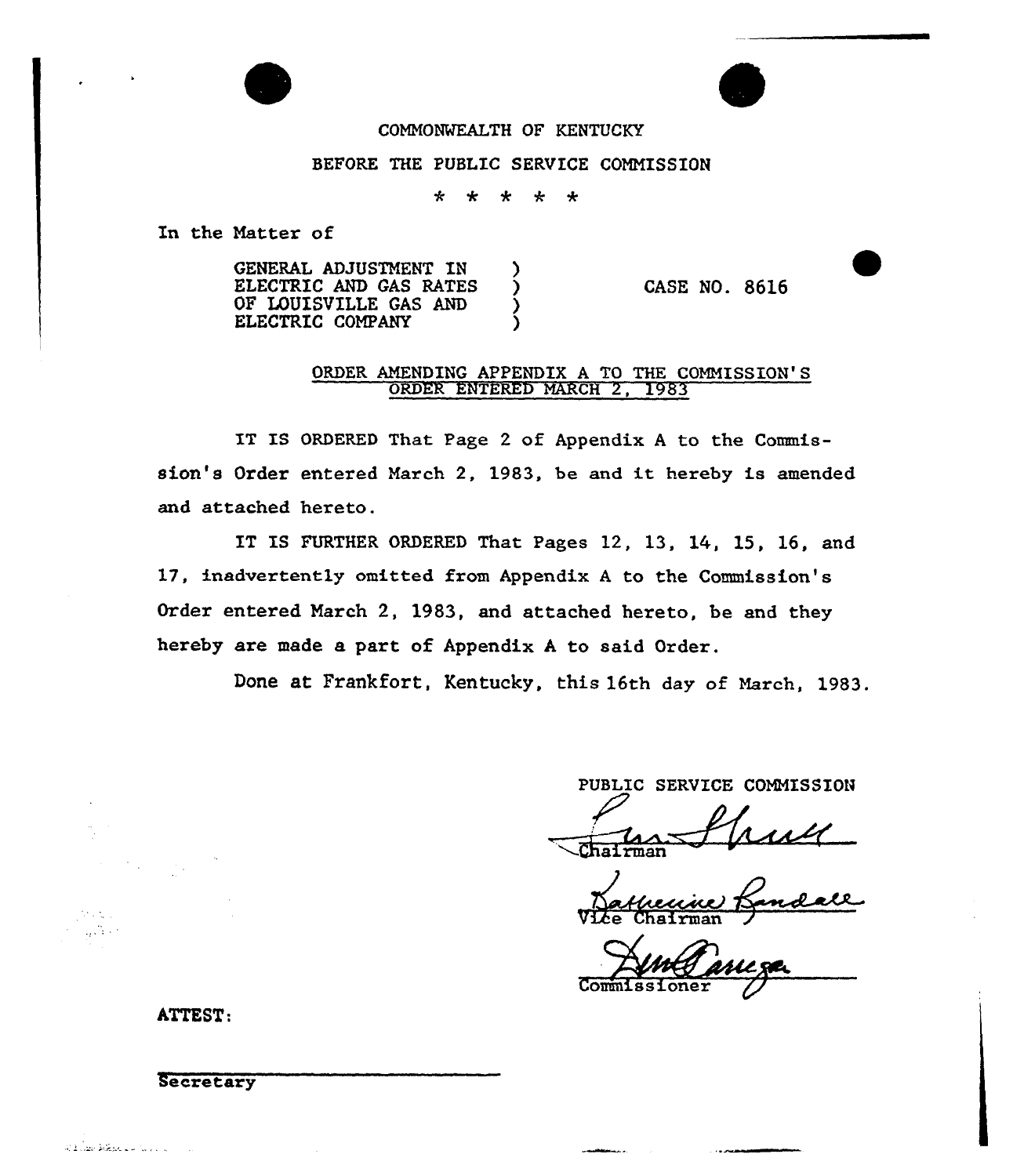

# COMMONWEALTH OF KENTUCKY

#### BEFORE THE PUBLIC SERVICE COMMISSION

 $\star$ مه  $\ddot{\textbf{r}}$  $\star$  $\star$ 

In the Matter of

GENERAL ADJUSTMENT IN ELECTRIC AND GAS RATES OF LOUISVILLE GAS AND ELECTRIC COMPANY

CASE NO. 8616

### ORDER AMENDING APPENDIX A TO THE COMMISSION'S ORDER ENTERED NARCH 2, 1983

IT IS ORDERED That Page <sup>2</sup> of Appendix <sup>A</sup> to the Commission's Order entered March 2, 1983, be and it hereby is amended and attached hereto.

ET ES FURTHER ORDERED That Pages 12, 13, 14, 15, 16, and 17, inadvertently omitted from Appendix <sup>A</sup> to the Commission's Order entered March 2, 1983, and attached hereto, be and they hereby are made a part of Appendix <sup>A</sup> to said Order.

Done at Frankfort, Kentucky, this 16th day of March, 1983.

PUBLIC SERVICE COMMISSION

hairman

<u>sself</u><br>andall Vice Chairma

Commissione

ATTEST:

# Secretary

and the back of the common

a situ  $\frac{1}{2\sqrt{3}}$  .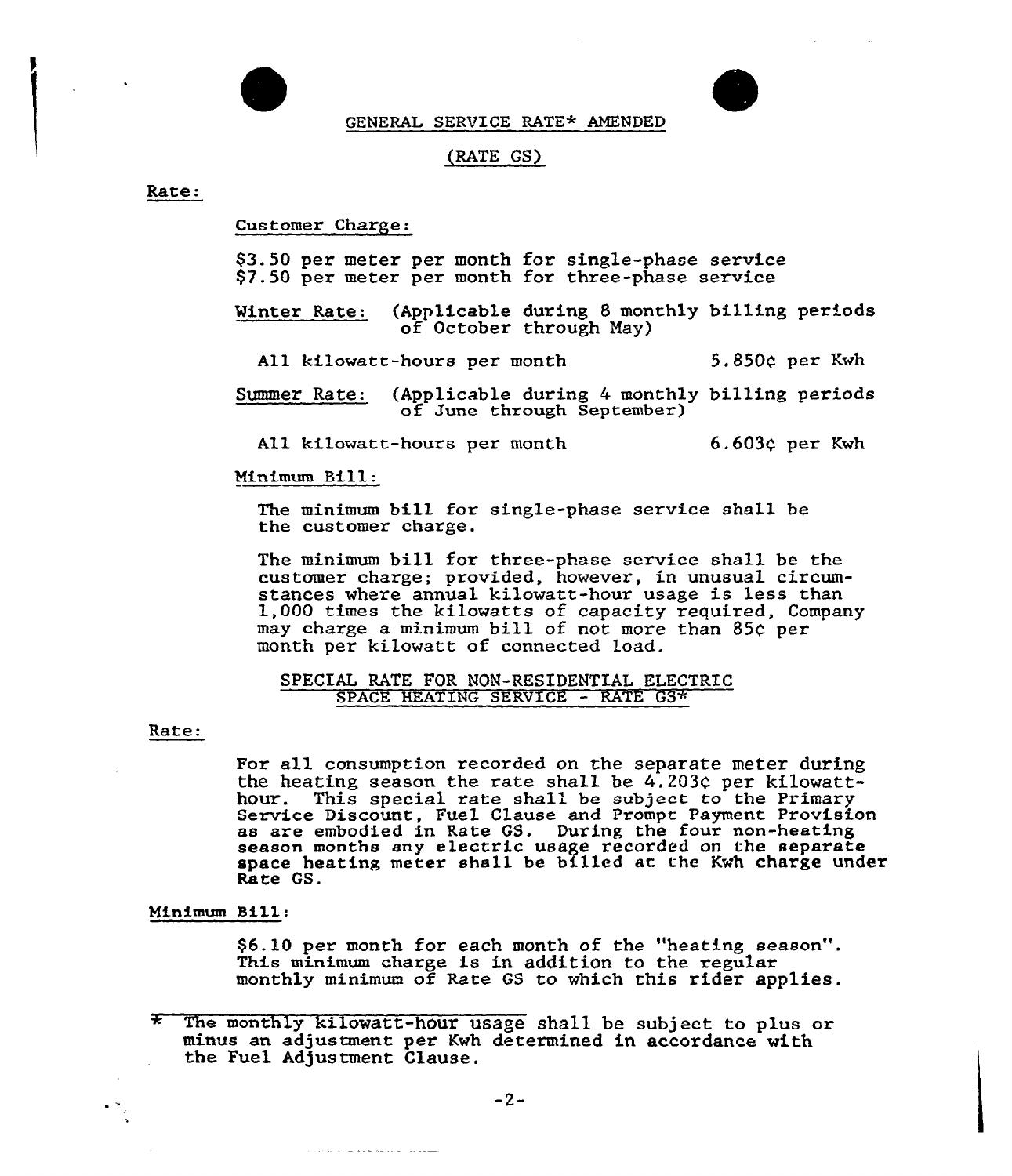

GENERAL SERVICE RATE\* AMENDED

# (RATE GS)

Rate:

Customer Charge:

\$3.50 per meter per month for single-phase service \$7.50 per meter per month for three-phase service

Winter Rate: (Applicable during 8 monthly billing periods of October through Nay)

All kilowatt-hours per month 5.850c per Kwh

Summer Rate: (Applicable during 4 monthly billing periods of June through September)

All kilowatt-hours per month  $6.603c$  per Kwh

#### Minimum Bill:

The minimum bill for single-phase service shall be the customer charge.

The minimum bill for three-phase service shall be the customer charge; provided, however, in unusual circumstances where annual kilowatt-hour usage is less than 1,000 times the kilowatts of capacity required, Company may charge a minimum bill of not more than 85c per month per kilowatt of connected load.

#### SPECIAL RATE FOR NON-RESIDENTIAL ELECTRIC SPACE HEATING SERVICE - RATE GS\*

#### Rate:

For all consumption recorded on the separate meter during the heating season the rate shall be  $4.203c$  per kilowatthour. This special rate shall be subject to the Primary<br>Service Discount, Fuel Clause and Prompt Payment Provisio as are embodied in Rate GS. During the four non-heating season months any electric usage recorded on the separate season months any executive assge recorded on the separate Rate GS.

#### Minimum Sill:

\$6.10 per month for each month of the "heating season". This minimum charge is in addition to the regular monthly minimum of Rate GS to which this rider applies.

 $\sim$  10  $\sim$  10  $\sim$  10  $\sim$  100  $\sim$  100  $\sim$  100  $\sim$  100  $\sim$  100  $\sim$ 

The monthly kilowatt-hour usage sha11 be subject to plus or minus an adjustment per Kwh determined in accordance with the Fuel Adjustment Clause.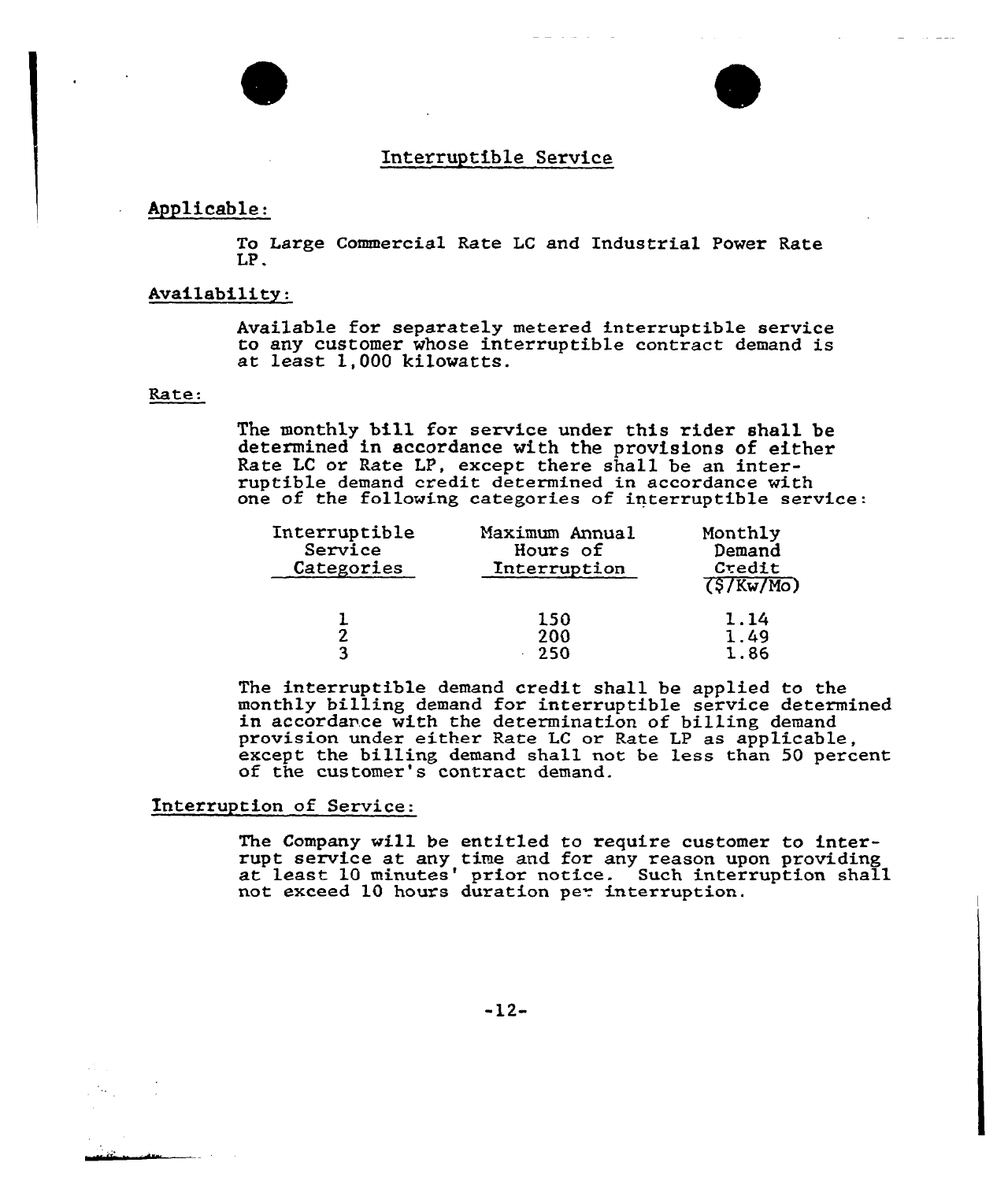# Interruptible Service

### Applicable:

To Large Commercial Rate LC and Industrial Power Rate LP.

# Availability:

Available for separately metered interruptible service to any customer whose interruptible contract demand is at least 1,000 kilowatts.

# Rate:

The monthly bill for service under this rider shall be determined in accordance with the provisions of either Rate LC or Rate LP, except there shall be an interruptible demand credit determined in accordance with one of the following categories of interruptible service:

| Interruptible<br>Service<br>Categories | Maximum Annual<br>Hours of<br>Interruption | Monthly<br>Demand<br>Credit<br>(5/Kw/Mo) |
|----------------------------------------|--------------------------------------------|------------------------------------------|
|                                        | 150<br>200<br>-250                         | 1.14<br>1.49<br>1.86                     |

The interruptible demand credit shall be applied to the monthly billing demand for interruptible service determined in accordance with the determination of billing demand provision under either Rate LC or Rate LP as applicable, except the billing demand shall not be less than 50 percent of the customer's contract demand.

# Interruption of Service:

The Company will be entitled to require customer to interrupt service at any time and for any reason upon providing rupt service at any the and for any reason upon providing<br>at least 10 minutes' prior notice. Such interruption shall not exceed 10 hours duration per interruption

-12-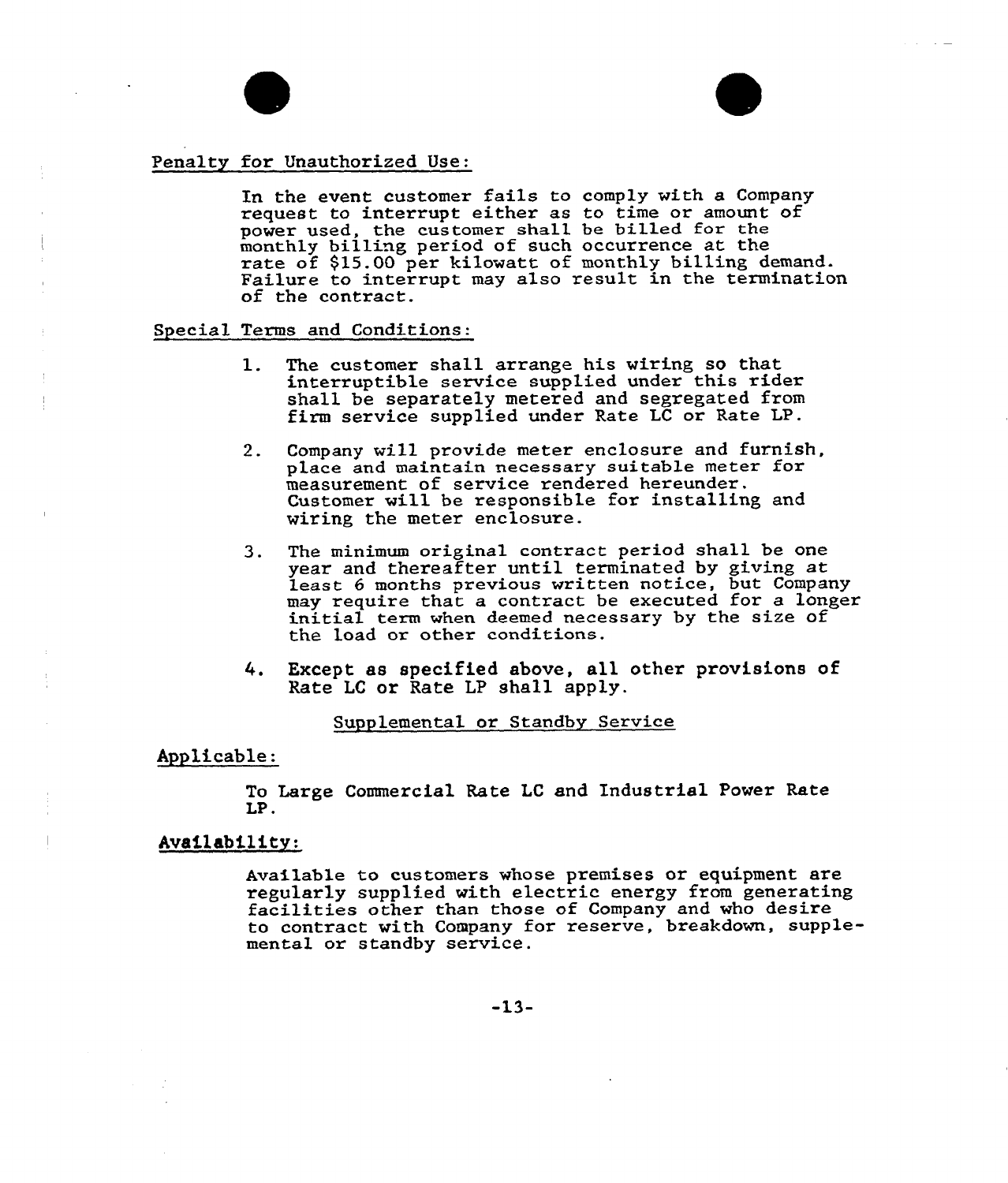### Penalty for Unauthorized Use:

In the event customex fails to comply with a Company request to interrupt either as to time or amount of power used, the customer shall be billed for the monthly billing period of such occurrence at the rate of \$15.00 per kilowatt of monthly billing demand. Failure to interrupt may also result in the termination of the contract.

Special Texms and Conditions:

- 1. The customer shall arrange his wiring so that interruptible service supplied under this rider shall be separately metered and segregated from firm service supplied under Rate LC or Rate LP.
- 2. Company will provide metex enclosure and furnish, place and maintain necessary suitable meter for measurement of service rendered hereunder. Customer will be responsible for installing and wiring the meter enclosure.
- 3. The minimum original contract period shall be one year and thereafter until terminated by giving at least 6 months previous written notice, but Company may require that a contract be executed for a initial term when deemed necessary by the size of the load or other conditions.
- Except as specified above, all other provisions of 4. Rate LC or Rate LP shall apply.

Supplemental or Standby Service

# Applicable:

To Large Commercial Rate LC and Industrial Power Rate LP.

Availability:

Available to customers whose premises or equipment are regularly supplied with electric energy from generating facilities other than those of Company and who desire to contract with Company for reserve, breakdown, supplemental ox standby service.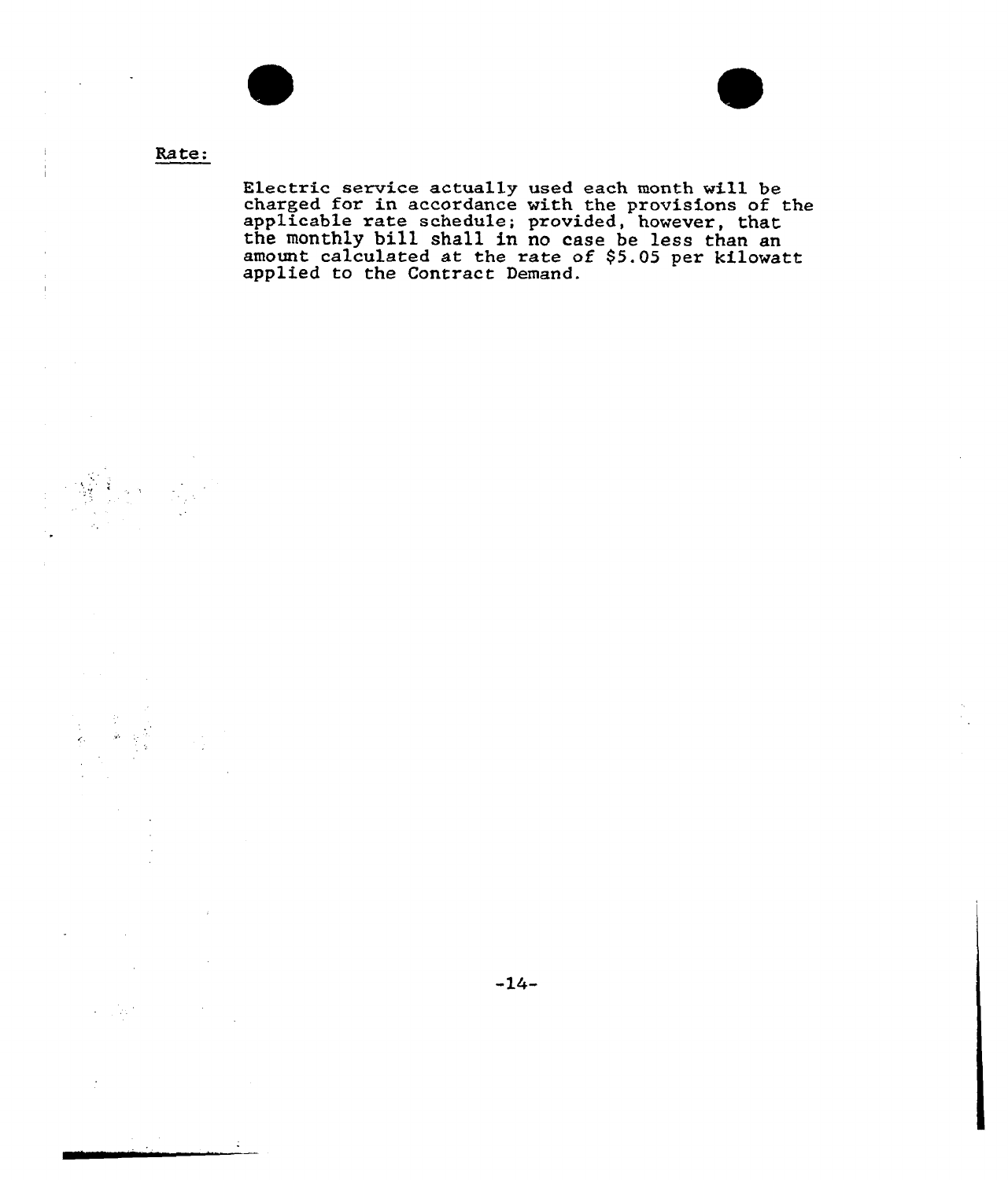

 $\ddot{\phantom{a}}$ 



# Rate:

Electric service actually used each month will be charged for in accordance with the provisions of the applicable rate schedule; provided, however, that the monthly bill shall in no case be less than an amount calculated at the rate of \$5.05 per kilowat applied to the Contract Demand.

 $-14-$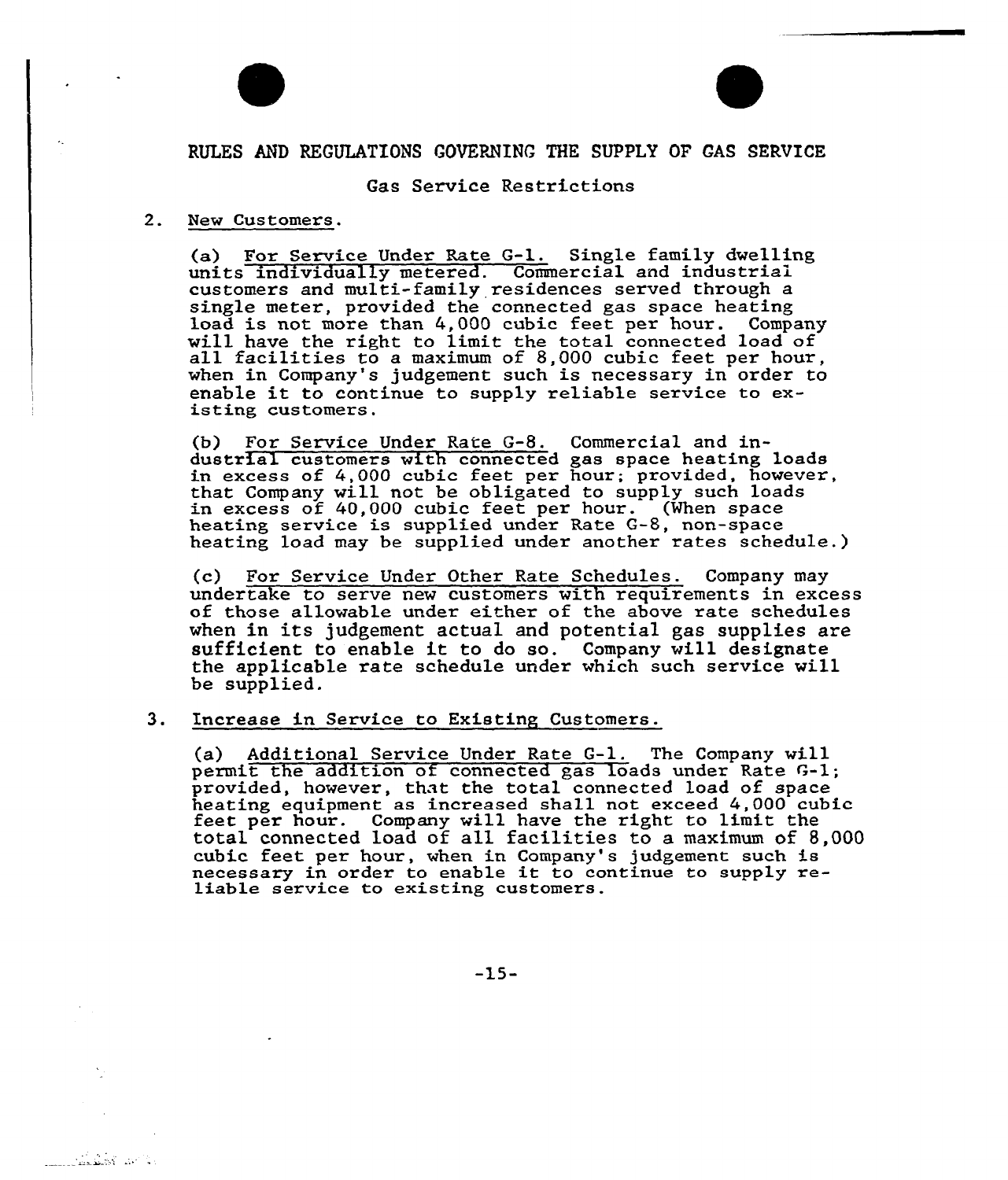

# RULES AND REGULATIONS GOVERNING THE SUPPLY OF GAS SERVICE

### Gas Service Restrictions

#### 2. New Customers.

الأكس كمقطور

(a) For Service Under Rate G-1. Single family dwelling units individually metered. Commercial and industriai customers and multi-family residences served through a single meter, provided the connected gas space heating<br>load is not more than 4,000 cubic feet per hour. Company will have the right to limit the total connected load of all facilities to a maximum of 8,000 cubic feet per hour, when in Company's judgement such is necessary in order to enable it to continue to supply reliable service to existing customers.

(b) For Service Under Rate G-8. Commercial and industrial customers with connected gas space heating loads discrial castomers with connected gas space heating roads that Company will not be obligated to supply such loads in excess of 40,000 cubic feet per hour. (When space heating service is supplied under Rate G-B, non-space heating load may be supplied under another rates schedule.)

(c) For Service Under Other Rate Schedules. Company may undertake to serve new customers with requirements in excess of those allowable under either of the above rate schedules when in its judgement actual and potential gas supplies are sufficient to enable it to do so. Company will designate the applicable rate schedule under which such service will be supplied.

#### 3. Increase in Service to Existing Customers.

(a) Additional Service Under Rate G-1. The Company will permit the addition of connected gas loads under Rate G-1; provided, however, that the total connected load of space heating equipment as increased shall not exceed 4,000 cubic<br>feet per hour. Company will have the right to limit the<br>total connected load of all facilities to a maximum of 8.000 cubic feet per hour, when in Company's judgement such is necessary in order to enable it to continue to supply re- liable service to existing customers.

-15-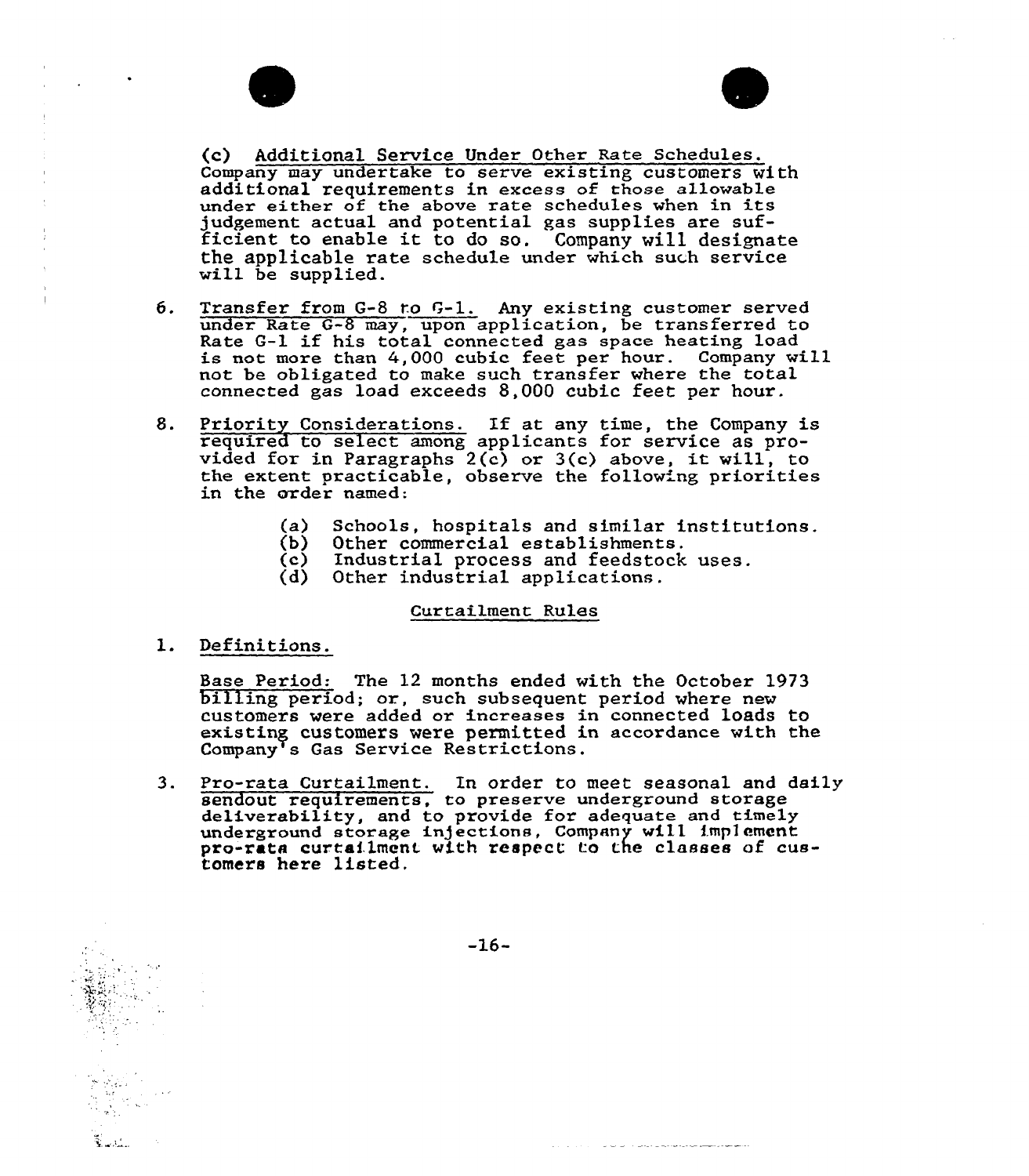

- 6. Transfer from G-8 to G-1. Any existing customer served under Rate G-8 may, upon application, be transferred to Rate G-l if his total connected gas space heating load is not more than 4,000 cubic feet per hour. Company will not be obligated to make such transfer where the total connected gas load exceeds 8,000 cubic feet per hour.
- 8. Priority Considerations. If at any time, the Company is required to select among applicants for service as provided for in Paragraphs  $2(c)$  or  $3(c)$  above, it will, to the extent practicable, observe the follow'ng priorities in the order named:
	- (a) Schools, hospitals and similar institutions.<br>(b) Other commercial establishments.
	- (b) Other commercial establishments.<br>(c) Industrial process and feedstock
	- (c) Industrial process and feedstock uses.<br>(d) Other industrial applications.
	- Other industrial applications.

#### Curtailment Rules

l. Definitions.

سندسة

Base Period: The <sup>12</sup> months ended with the October <sup>1973</sup> billing period; or., such subsequent period where new customex's were added ox inexeases in connected loads to existiny customers were permitted in accordance with the Company<sup>T</sup>s Gas Service Restrictions.

3. Pro-rata Curtailment. In order to meet seasonal and daily sendout requirements, to preserve underground storage sendout requirements, to preserve underground storage deliverability, and to provide for adequate and timely underground storage injections, Company will implement pxo-xata curtailment with respect to the classes of customers here listed.

 $-16-$